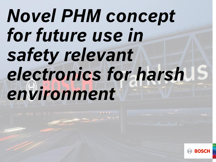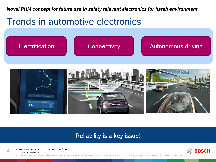### Trends in automotive electronics





#### Reliability is a key issue!

Automotive Electronics | AE/EDT3 PGromala | 05/29/2017

ECTC Special Session 2017

2

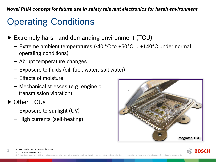## Operating Conditions

- Extremely harsh and demanding environment (TCU)
	- $-$  Extreme ambient temperatures (-40 °C to +60°C  $...+140$ °C under normal operating conditions)
	- ‒ Abrupt temperature changes
	- ‒ Exposure to fluids (oil, fuel, water, salt water)
	- ‒ Effects of moisture
	- ‒ Mechanical stresses (e.g. engine or transmission vibration)
- ▶ Other ECUs
	- $-$  Exposure to sunlight (UV)
	- ‒ High currents (self-heating)





Automotive Electronics | AE/EDT | 05/29/2017 3

ECTC Special Session 2017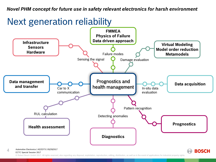